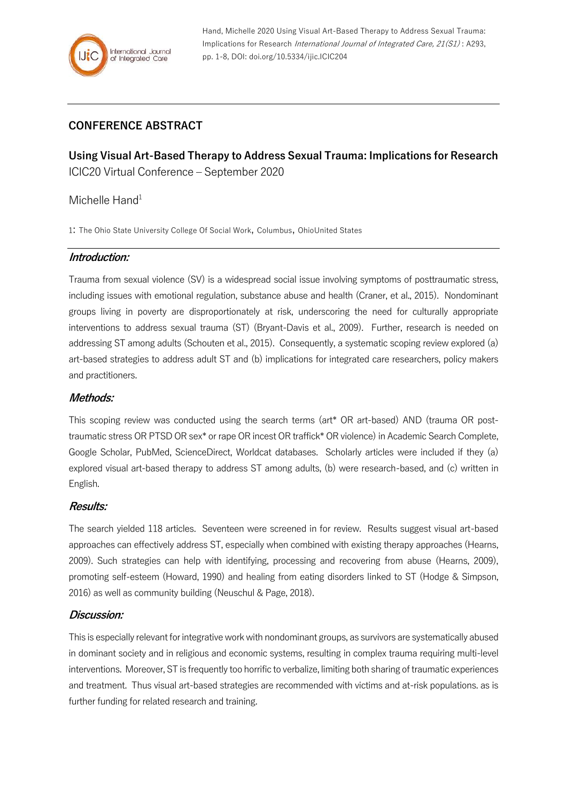Hand, Michelle 2020 Using Visual Art-Based Therapy to Address Sexual Trauma: Implications for Research International Journal of Integrated Care, 21(S1) : A293, pp. 1-8, DOI: doi.org/10.5334/ijic.ICIC204

# **CONFERENCE ABSTRACT**

**Using Visual Art-Based Therapy to Address Sexual Trauma: Implications for Research** ICIC20 Virtual Conference – September 2020

## Michelle Hand<sup>1</sup>

1: The Ohio State University College Of Social Work, Columbus, OhioUnited States

### **Introduction:**

Trauma from sexual violence (SV) is a widespread social issue involving symptoms of posttraumatic stress, including issues with emotional regulation, substance abuse and health (Craner, et al., 2015). Nondominant groups living in poverty are disproportionately at risk, underscoring the need for culturally appropriate interventions to address sexual trauma (ST) (Bryant-Davis et al., 2009). Further, research is needed on addressing ST among adults (Schouten et al., 2015). Consequently, a systematic scoping review explored (a) art-based strategies to address adult ST and (b) implications for integrated care researchers, policy makers and practitioners.

#### **Methods:**

This scoping review was conducted using the search terms (art\* OR art-based) AND (trauma OR posttraumatic stress OR PTSD OR sex\* or rape OR incest OR traffick\* OR violence) in Academic Search Complete, Google Scholar, PubMed, ScienceDirect, Worldcat databases. Scholarly articles were included if they (a) explored visual art-based therapy to address ST among adults, (b) were research-based, and (c) written in English.

#### **Results:**

The search yielded 118 articles. Seventeen were screened in for review. Results suggest visual art-based approaches can effectively address ST, especially when combined with existing therapy approaches (Hearns, 2009). Such strategies can help with identifying, processing and recovering from abuse (Hearns, 2009), promoting self-esteem (Howard, 1990) and healing from eating disorders linked to ST (Hodge & Simpson, 2016) as well as community building (Neuschul & Page, 2018).

#### **Discussion:**

This is especially relevant for integrative work with nondominant groups, as survivors are systematically abused in dominant society and in religious and economic systems, resulting in complex trauma requiring multi-level interventions. Moreover, ST is frequently too horrific to verbalize, limiting both sharing of traumatic experiences and treatment. Thus visual art-based strategies are recommended with victims and at-risk populations. as is further funding for related research and training.